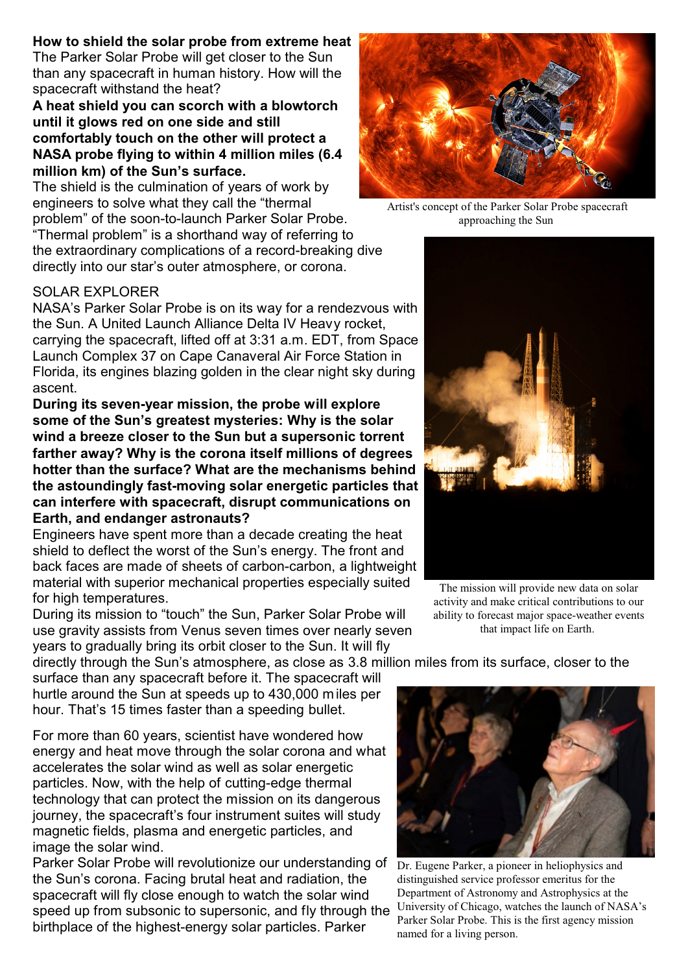## **How to shield the solar probe from extreme heat**

The Parker Solar Probe will get closer to the Sun than any spacecraft in human history. How will the spacecraft withstand the heat?

## **A heat shield you can scorch with a blowtorch until it glows red on one side and still comfortably touch on the other will protect a NASA probe flying to within 4 million miles (6.4 million km) of the Sun's surface.**

The shield is the culmination of years of work by engineers to solve what they call the "thermal problem" of the soon-to-launch Parker Solar Probe. "Thermal problem" is a shorthand way of referring to the extraordinary complications of a record-breaking dive

directly into our star's outer atmosphere, or corona.

## SOLAR EXPLORER

NASA's Parker Solar Probe is on its way for a rendezvous with the Sun. A United Launch Alliance Delta IV Heavy rocket, carrying the spacecraft, lifted off at 3:31 a.m. EDT, from Space Launch Complex 37 on Cape Canaveral Air Force Station in Florida, its engines blazing golden in the clear night sky during ascent.

**During its seven-year mission, the probe will explore some of the Sun's greatest mysteries: Why is the solar wind a breeze closer to the Sun but a supersonic torrent farther away? Why is the corona itself millions of degrees hotter than the surface? What are the mechanisms behind the astoundingly fast-moving solar energetic particles that can interfere with spacecraft, disrupt communications on Earth, and endanger astronauts?**

Engineers have spent more than a decade creating the heat shield to deflect the worst of the Sun's energy. The front and back faces are made of sheets of carbon-carbon, a lightweight material with superior mechanical properties especially suited for high temperatures.

During its mission to "touch" the Sun, Parker Solar Probe will use gravity assists from Venus seven times over nearly seven years to gradually bring its orbit closer to the Sun. It will fly

directly through the Sun's atmosphere, as close as 3.8 million miles from its surface, closer to the

surface than any spacecraft before it. The spacecraft will hurtle around the Sun at speeds up to 430,000 miles per hour. That's 15 times faster than a speeding bullet.

For more than 60 years, scientist have wondered how energy and heat move through the solar corona and what accelerates the solar wind as well as solar energetic particles. Now, with the help of cutting-edge thermal technology that can protect the mission on its dangerous journey, the spacecraft's four instrument suites will study magnetic fields, plasma and energetic particles, and image the solar wind.

Parker Solar Probe will revolutionize our understanding of the Sun's corona. Facing brutal heat and radiation, the spacecraft will fly close enough to watch the solar wind speed up from subsonic to supersonic, and fly through the birthplace of the highest-energy solar particles. Parker



Artist's concept of the Parker Solar Probe spacecraft approaching the Sun



The mission will provide new data on solar activity and make critical contributions to our ability to forecast major space-weather events that impact life on Earth.





Dr. Eugene Parker, a pioneer in heliophysics and distinguished service professor emeritus for the Department of Astronomy and Astrophysics at the University of Chicago, watches the launch of NASA's Parker Solar Probe. This is the first agency mission named for a living person.